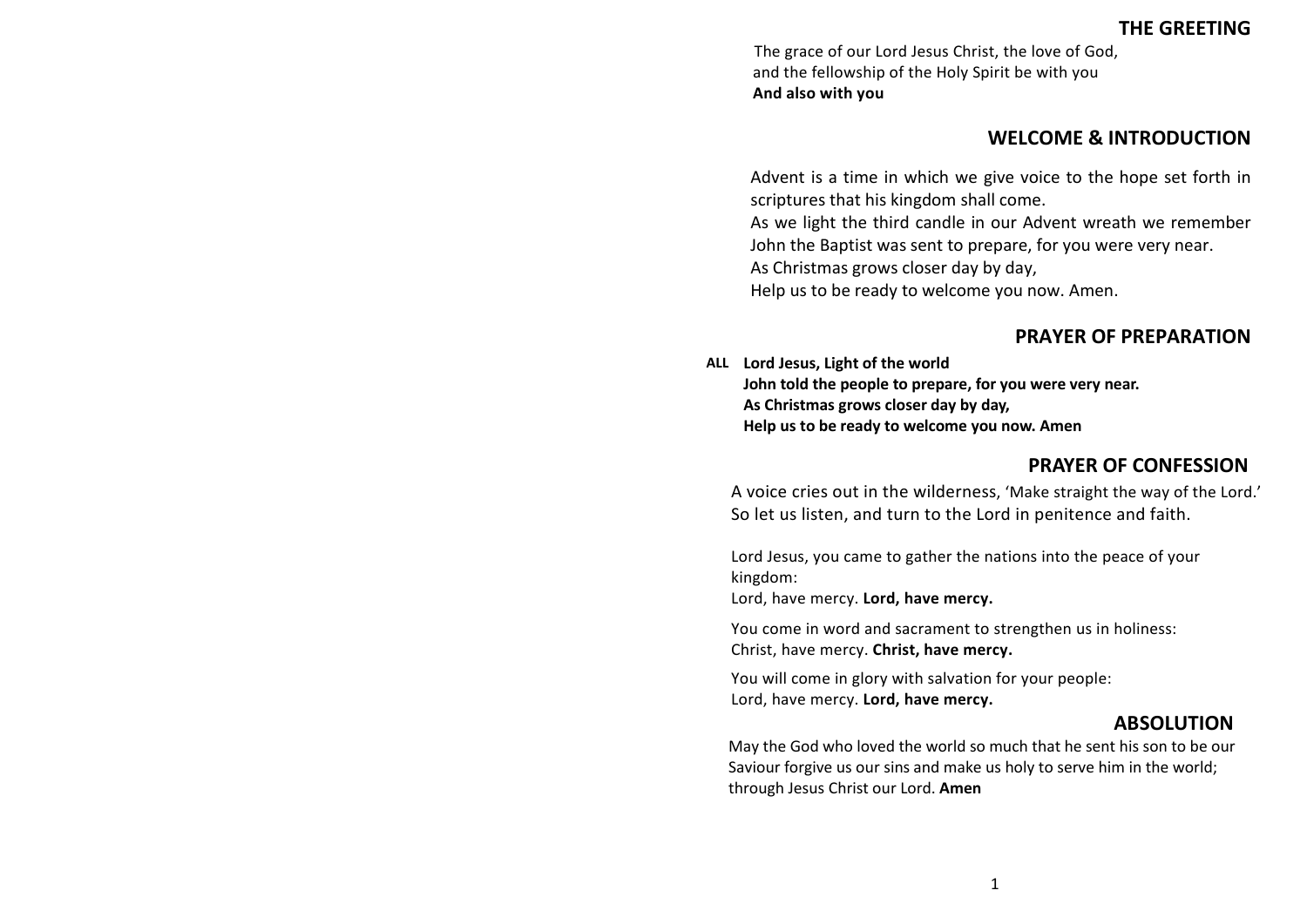## **THE GREETING**

The grace of our Lord Jesus Christ, the love of God, and the fellowship of the Holy Spirit be with you **And also with you**

### **WELCOME & INTRODUCTION**

Advent is a time in which we give voice to the hope set forth in scriptures that his kingdom shall come.

As we light the third candle in our Advent wreath we remember John the Baptist was sent to prepare, for you were very near.

As Christmas grows closer day by day,

Help us to be ready to welcome you now. Amen.

## **PRAYER OF PREPARATION**

**ALL Lord Jesus, Light of the world John told the people to prepare, for you were very near. As Christmas grows closer day by day, Help us to be ready to welcome you now. Amen**

### **PRAYER OF CONFESSION**

A voice cries out in the wilderness, 'Make straight the way of the Lord.' So let us listen, and turn to the Lord in penitence and faith.

Lord Jesus, you came to gather the nations into the peace of your kingdom:

Lord, have mercy. **Lord, have mercy.**

You come in word and sacrament to strengthen us in holiness: Christ, have mercy. **Christ, have mercy.**

You will come in glory with salvation for your people: Lord, have mercy. **Lord, have mercy.**

### **ABSOLUTION**

May the God who loved the world so much that he sent his son to be our Saviour forgive us our sins and make us holy to serve him in the world; through Jesus Christ our Lord. **Amen**